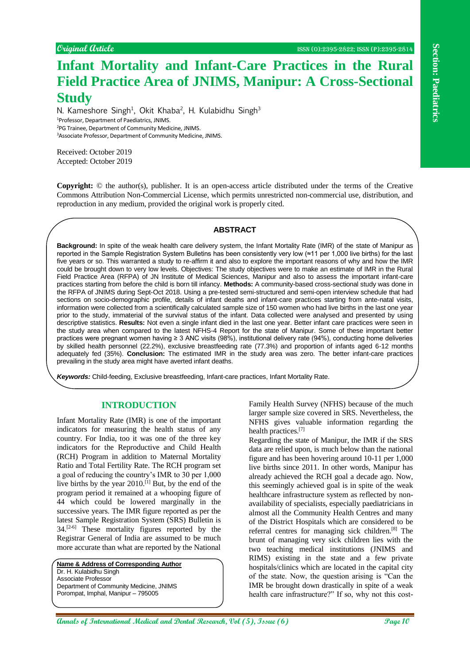# **Infant Mortality and Infant-Care Practices in the Rural Field Practice Area of JNIMS, Manipur: A Cross-Sectional Study**

N. Kameshore Singh<sup>1</sup>, Okit Khaba<sup>2</sup>, H. Kulabidhu Singh<sup>3</sup> Professor, Department of Paediatrics, JNIMS. PG Trainee, Department of Community Medicine, JNIMS. Associate Professor, Department of Community Medicine, JNIMS.

Received: October 2019 Accepted: October 2019

**Copyright:** © the author(s), publisher. It is an open-access article distributed under the terms of the Creative Commons Attribution Non-Commercial License, which permits unrestricted non-commercial use, distribution, and reproduction in any medium, provided the original work is properly cited.

### **ABSTRACT**

**Angle Control and Control and Control and Control and Control and Control and Control and Control and Control and Control and Control and Control and Control and Control and Control and Control and Control and Control and Background:** In spite of the weak health care delivery system, the Infant Mortality Rate (IMR) of the state of Manipur as reported in the Sample Registration System Bulletins has been consistently very low (≈11 per 1,000 live births) for the last five years or so. This warranted a study to re-affirm it and also to explore the important reasons of why and how the IMR could be brought down to very low levels. Objectives: The study objectives were to make an estimate of IMR in the Rural Field Practice Area (RFPA) of JN Institute of Medical Sciences, Manipur and also to assess the important infant-care practices starting from before the child is born till infancy. **Methods:** A community-based cross-sectional study was done in the RFPA of JNIMS during Sept-Oct 2018. Using a pre-tested semi-structured and semi-open interview schedule that had sections on socio-demographic profile, details of infant deaths and infant-care practices starting from ante-natal visits, information were collected from a scientifically calculated sample size of 150 women who had live births in the last one year prior to the study, immaterial of the survival status of the infant. Data collected were analysed and presented by using descriptive statistics. **Results:** Not even a single infant died in the last one year. Better infant care practices were seen in the study area when compared to the latest NFHS-4 Report for the state of Manipur. Some of these important better practices were pregnant women having ≥ 3 ANC visits (98%), institutional delivery rate (94%), conducting home deliveries by skilled health personnel (22.2%), exclusive breastfeeding rate (77.3%) and proportion of infants aged 6-12 months adequately fed (35%). **Conclusion:** The estimated IMR in the study area was zero. The better infant-care practices prevailing in the study area might have averted infant deaths.

*Keywords:* Child-feeding, Exclusive breastfeeding, Infant-care practices, Infant Mortality Rate.

### **INTRODUCTION**

Infant Mortality Rate (IMR) is one of the important indicators for measuring the health status of any country. For India, too it was one of the three key indicators for the Reproductive and Child Health (RCH) Program in addition to Maternal Mortality Ratio and Total Fertility Rate. The RCH program set a goal of reducing the country's IMR to 30 per 1,000 live births by the year 2010.[1] But, by the end of the program period it remained at a whooping figure of 44 which could be lowered marginally in the successive years. The IMR figure reported as per the latest Sample Registration System (SRS) Bulletin is 34.[2-6] These mortality figures reported by the Registrar General of India are assumed to be much more accurate than what are reported by the National

**Name & Address of Corresponding Author** Dr. H. Kulabidhu Singh Associate Professor Department of Community Medicine, JNIMS Porompat, Imphal, Manipur – 795005

Family Health Survey (NFHS) because of the much larger sample size covered in SRS. Nevertheless, the NFHS gives valuable information regarding the health practices.[7]

Regarding the state of Manipur, the IMR if the SRS data are relied upon, is much below than the national figure and has been hovering around 10-11 per 1,000 live births since 2011. In other words, Manipur has already achieved the RCH goal a decade ago. Now, this seemingly achieved goal is in spite of the weak healthcare infrastructure system as reflected by nonavailability of specialists, especially paediatricians in almost all the Community Health Centres and many of the District Hospitals which are considered to be referral centres for managing sick children.[8] The brunt of managing very sick children lies with the two teaching medical institutions (JNIMS and RIMS) existing in the state and a few private hospitals/clinics which are located in the capital city of the state. Now, the question arising is "Can the IMR be brought down drastically in spite of a weak health care infrastructure?" If so, why not this cost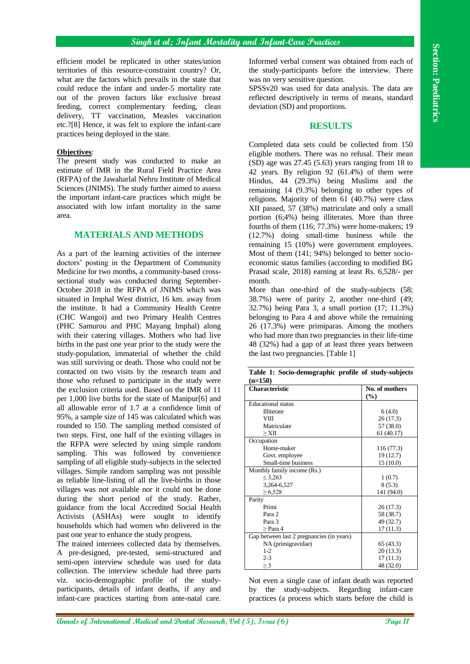efficient model be replicated in other states/union territories of this resource-constraint country? Or, what are the factors which prevails in the state that could reduce the infant and under-5 mortality rate out of the proven factors like exclusive breast feeding, correct complementary feeding, clean delivery, TT vaccination, Measles vaccination etc.?[8] Hence, it was felt to explore the infant-care practices being deployed in the state.

#### **Objectives**:

The present study was conducted to make an estimate of IMR in the Rural Field Practice Area (RFPA) of the Jawaharlal Nehru Institute of Medical Sciences (JNIMS). The study further aimed to assess the important infant-care practices which might be associated with low infant mortality in the same area.

#### **MATERIALS AND METHODS**

After the context in the section of the section of the section of the section of the section of the section of the section of the section of the section of the section of the section of the section of the section of the s As a part of the learning activities of the internee doctors' posting in the Department of Community Medicine for two months, a community-based crosssectional study was conducted during September-October 2018 in the RFPA of JNIMS which was situated in Imphal West district, 16 km. away from the institute. It had a Community Health Centre (CHC Wangoi) and two Primary Health Centres (PHC Samurou and PHC Mayang Imphal) along with their catering villages. Mothers who had live births in the past one year prior to the study were the study-population, immaterial of whether the child was still surviving or death. Those who could not be contacted on two visits by the research team and those who refused to participate in the study were the exclusion criteria used. Based on the IMR of 11 per 1,000 live births for the state of Manipur[6] and all allowable error of 1.7 at a confidence limit of 95%, a sample size of 145 was calculated which was rounded to 150. The sampling method consisted of two steps. First, one half of the existing villages in the RFPA were selected by using simple random sampling. This was followed by convenience sampling of all eligible study-subjects in the selected villages. Simple random sampling was not possible as reliable line-listing of all the live-births in those villages was not available nor it could not be done during the short period of the study. Rather, guidance from the local Accredited Social Health Activists (ASHAs) were sought to identify households which had women who delivered in the past one year to enhance the study progress.

The trained internees collected data by themselves. A pre-designed, pre-tested, semi-structured and semi-open interview schedule was used for data collection. The interview schedule had three parts viz. socio-demographic profile of the studyparticipants, details of infant deaths, if any and infant-care practices starting from ante-natal care.

Informed verbal consent was obtained from each of the study-participants before the interview. There was no very sensitive question.

SPSSv20 was used for data analysis. The data are reflected descriptively in terms of means, standard deviation (SD) and proportions.

#### **RESULTS**

Completed data sets could be collected from 150 eligible mothers. There was no refusal. Their mean (SD) age was 27.45 (5.63) years ranging from 18 to 42 years. By religion 92 (61.4%) of them were Hindus, 44 (29.3%) being Muslims and the remaining 14 (9.3%) belonging to other types of religions. Majority of them 61 (40.7%) were class XII passed, 57 (38%) matriculate and only a small portion (6;4%) being illiterates. More than three fourths of them (116; 77.3%) were home-makers; 19 (12.7%) doing small-time business while the remaining 15 (10%) were government employees. Most of them (141; 94%) belonged to better socioeconomic status families (according to modified BG Prasad scale, 2018) earning at least Rs. 6,528/- per month.

More than one-third of the study-subjects (58; 38.7%) were of parity 2, another one-third (49; 32.7%) being Para 3, a small portion (17; 11.3%) belonging to Para 4 and above while the remaining 26 (17.3%) were primiparas. Among the mothers who had more than two pregnancies in their life-time 48 (32%) had a gap of at least three years between the last two pregnancies. [Table 1]

| Table 1: Socio-demographic profile of study-subjects |                |  |
|------------------------------------------------------|----------------|--|
| $(n=150)$                                            |                |  |
| <b>Characteristic</b>                                | No. of mothers |  |
|                                                      | $(\%)$         |  |
| <b>Educational</b> status                            |                |  |
| <b>Illiterate</b>                                    | 6(4.0)         |  |
| VIII                                                 | 26 (17.3)      |  |
| Matriculate                                          | 57 (38.0)      |  |
| $>\chi_{\rm II}$                                     | 61 (40.17)     |  |
| Occupation                                           |                |  |
| Home-maker                                           | 116 (77.3)     |  |
| Govt. employee                                       | 19 (12.7)      |  |
| Small-time business                                  | 15 (10.0)      |  |
| Monthly family income (Rs.)                          |                |  |
| $\leq 3.263$                                         | 1(0.7)         |  |
| 3,264-6,527                                          | 8(5.3)         |  |
| $\geq 6,528$                                         | 141 (94.0)     |  |
| Parity                                               |                |  |
| Primi                                                | 26(17.3)       |  |
| Para 2                                               | 58 (38.7)      |  |
| Para 3                                               | 49 (32.7)      |  |
| $>$ Para 4                                           | 17 (11.3)      |  |
| Gap between last 2 pregnancies (in years)            |                |  |
| NA (primigravidae)                                   | 65 (43.3)      |  |
| $1-2$                                                | 20 (13.3)      |  |
| $2 - 3$                                              | 17(11.3)       |  |
| $\geq$ 3                                             | 48 (32.0)      |  |

Not even a single case of infant death was reported by the study-subjects. Regarding infant-care practices (a process which starts before the child is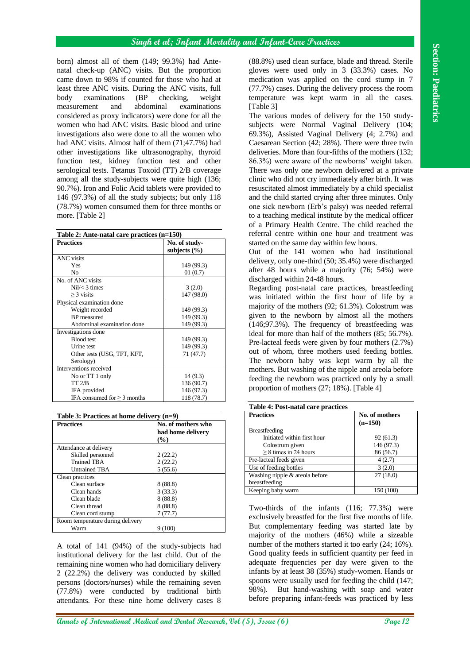## **Singh et al; Infant Mortality and Infant-Care Practices**

| born) almost all of them (149; 99.3%) had Ante-<br>(88.8%) used clean surface, blade and thread. Sterile<br>natal check-up (ANC) visits. But the proportion<br>gloves were used only in 3 (33.3%) cases. No<br>came down to 98% if counted for those who had at<br>medication was applied on the cord stump in 7<br>(77.7%) cases. During the delivery process the room<br>least three ANC visits. During the ANC visits, full<br>temperature was kept warm in all the cases.<br>examinations<br>(BP<br>checking,<br>body<br>weight<br>abdominal<br>measurement<br>examinations<br>[Table 3]<br>and<br>considered as proxy indicators) were done for all the<br>The various modes of delivery for the 150 study-<br>women who had ANC visits. Basic blood and urine<br>subjects were Normal Vaginal Delivery (104;<br>69.3%), Assisted Vaginal Delivery (4; 2.7%) and<br>investigations also were done to all the women who<br>Caesarean Section (42; 28%). There were three twin<br>had ANC visits. Almost half of them (71;47.7%) had<br>deliveries. More than four-fifths of the mothers (132;<br>other investigations like ultrasonography, thyroid<br>function test, kidney function test and other<br>86.3%) were aware of the newborns' weight taken.<br>serological tests. Tetanus Toxoid (TT) 2/B coverage<br>There was only one newborn delivered at a private<br>among all the study-subjects were quite high (136;<br>clinic who did not cry immediately after birth. It was<br>90.7%). Iron and Folic Acid tablets were provided to<br>resuscitated almost immediately by a child specialist<br>146 (97.3%) of all the study subjects; but only 118<br>and the child started crying after three minutes. Only<br>(78.7%) women consumed them for three months or<br>one sick newborn (Erb's palsy) was needed referral<br>to a teaching medical institute by the medical officer<br>more. [Table 2]<br>of a Primary Health Centre. The child reached the<br>referral centre within one hour and treatment was<br>Table 2: Ante-natal care practices (n=150)<br>started on the same day within few hours.<br><b>Practices</b><br>No. of study-<br>subjects $(\% )$<br>Out of the 141 women who had institutional<br>ANC visits<br>delivery, only one-third (50; 35.4%) were discharged<br>149 (99.3)<br>Yes<br>after 48 hours while a majority (76; 54%) were<br>No<br>01(0.7)<br>discharged within 24-48 hours.<br>No. of ANC visits<br>3(2.0)<br>$Nil/<$ 3 times<br>Regarding post-natal care practices, breastfeeding<br>$\geq$ 3 visits<br>147 (98.0)<br>was initiated within the first hour of life by a<br>Physical examination done<br>majority of the mothers (92; 61.3%). Colostrum was<br>Weight recorded<br>149 (99.3)<br>given to the newborn by almost all the mothers<br><b>BP</b> measured<br>149 (99.3)<br>(146;97.3%). The frequency of breastfeeding was<br>149 (99.3)<br>Abdominal examination done<br>Investigations done<br>ideal for more than half of the mothers (85; 56.7%).<br><b>Blood</b> test<br>149 (99.3)<br>Pre-lacteal feeds were given by four mothers (2.7%)<br>Urine test<br>149 (99.3)<br>out of whom, three mothers used feeding bottles.<br>Other tests (USG, TFT, KFT,<br>71(47.7)<br>The newborn baby was kept warm by all the<br>Serology)<br>Interventions received<br>mothers. But washing of the nipple and areola before<br>No or TT 1 only<br>14(9.3)<br>feeding the newborn was practiced only by a small<br>TT 2/B<br>136(90.7)<br>proportion of mothers (27; 18%). [Table 4]<br>IFA provided<br>146 (97.3)<br>IFA consumed for $\geq 3$ months<br>118 (78.7)<br>Table 4: Post-natal care practices<br><b>Practices</b><br>No. of mothers<br>Table 3: Practices at home delivery $(n=9)$<br>$(n=150)$<br><b>Practices</b><br>No. of mothers who<br>Breastfeeding<br>had home delivery<br>Initiated within first hour<br>92(61.3)<br>(%)<br>Colostrum given<br>146 (97.3)<br>Attendance at delivery<br>$\geq$ 8 times in 24 hours<br>86 (56.7)<br>Skilled personnel<br>2(22.2)<br>Pre-lacteal feeds given<br>4(2.7)<br><b>Trained TBA</b><br>2(22.2)<br>Use of feeding bottles<br>3(2.0)<br><b>Untrained TBA</b><br>5(55.6)<br>Washing nipple & areola before<br>27(18.0)<br>Clean practices<br>breastfeeding<br>Clean surface<br>8(88.8)<br>Keeping baby warm<br>150 (100)<br>Clean hands<br>3(33.3)<br>Clean blade<br>8(88.8)<br>Clean thread<br>8(88.8)<br>Two-thirds of the infants (116; 77.3%) were<br>7(77.7)<br>Clean cord stump<br>exclusively breastfed for the first five months of life.<br>Room temperature during delivery<br>But complementary feeding was started late by<br>9(100)<br>Warm<br>majority of the mothers (46%) while a sizeable<br>number of the mothers started it too early (24; 16%).<br>A total of 141 (94%) of the study-subjects had<br>Good quality feeds in sufficient quantity per feed in<br>institutional delivery for the last child. Out of the<br>adequate frequencies per day were given to the<br>remaining nine women who had domiciliary delivery<br>infants by at least 38 (35%) study-women. Hands or<br>2 (22.2%) the delivery was conducted by skilled<br>spoons were usually used for feeding the child (147;<br>persons (doctors/nurses) while the remaining seven<br>But hand-washing with soap and water<br>98%).<br>(77.8%) were conducted by traditional birth<br>before preparing infant-feeds was practiced by less<br>attendants. For these nine home delivery cases 8 |                                                                                |  |  |         |
|-------------------------------------------------------------------------------------------------------------------------------------------------------------------------------------------------------------------------------------------------------------------------------------------------------------------------------------------------------------------------------------------------------------------------------------------------------------------------------------------------------------------------------------------------------------------------------------------------------------------------------------------------------------------------------------------------------------------------------------------------------------------------------------------------------------------------------------------------------------------------------------------------------------------------------------------------------------------------------------------------------------------------------------------------------------------------------------------------------------------------------------------------------------------------------------------------------------------------------------------------------------------------------------------------------------------------------------------------------------------------------------------------------------------------------------------------------------------------------------------------------------------------------------------------------------------------------------------------------------------------------------------------------------------------------------------------------------------------------------------------------------------------------------------------------------------------------------------------------------------------------------------------------------------------------------------------------------------------------------------------------------------------------------------------------------------------------------------------------------------------------------------------------------------------------------------------------------------------------------------------------------------------------------------------------------------------------------------------------------------------------------------------------------------------------------------------------------------------------------------------------------------------------------------------------------------------------------------------------------------------------------------------------------------------------------------------------------------------------------------------------------------------------------------------------------------------------------------------------------------------------------------------------------------------------------------------------------------------------------------------------------------------------------------------------------------------------------------------------------------------------------------------------------------------------------------------------------------------------------------------------------------------------------------------------------------------------------------------------------------------------------------------------------------------------------------------------------------------------------------------------------------------------------------------------------------------------------------------------------------------------------------------------------------------------------------------------------------------------------------------------------------------------------------------------------------------------------------------------------------------------------------------------------------------------------------------------------------------------------------------------------------------------------------------------------------------------------------------------------------------------------------------------------------------------------------------------------------------------------------------------------------------------------------------------------------------------------------------------------------------------------------------------------------------------------------------------------------------------------------------------------------------------------------------------------------------------------------------------------------------------------------------------------------------------------------------------------------------------------------------------------------------------------------------------------------------------------------------------------------------------------------------------------------------------------------------------------------------------------------------------------------------------------------------------------------------------------------------------------------------------------------------------------------------------------------------------------------------------------------------------------------------------------------------------------------------------------------------------------------------------------------------------------------------------------------------------------------------------------------------|--------------------------------------------------------------------------------|--|--|---------|
|                                                                                                                                                                                                                                                                                                                                                                                                                                                                                                                                                                                                                                                                                                                                                                                                                                                                                                                                                                                                                                                                                                                                                                                                                                                                                                                                                                                                                                                                                                                                                                                                                                                                                                                                                                                                                                                                                                                                                                                                                                                                                                                                                                                                                                                                                                                                                                                                                                                                                                                                                                                                                                                                                                                                                                                                                                                                                                                                                                                                                                                                                                                                                                                                                                                                                                                                                                                                                                                                                                                                                                                                                                                                                                                                                                                                                                                                                                                                                                                                                                                                                                                                                                                                                                                                                                                                                                                                                                                                                                                                                                                                                                                                                                                                                                                                                                                                                                                                                                                                                                                                                                                                                                                                                                                                                                                                                                                                                                                                                                 |                                                                                |  |  |         |
|                                                                                                                                                                                                                                                                                                                                                                                                                                                                                                                                                                                                                                                                                                                                                                                                                                                                                                                                                                                                                                                                                                                                                                                                                                                                                                                                                                                                                                                                                                                                                                                                                                                                                                                                                                                                                                                                                                                                                                                                                                                                                                                                                                                                                                                                                                                                                                                                                                                                                                                                                                                                                                                                                                                                                                                                                                                                                                                                                                                                                                                                                                                                                                                                                                                                                                                                                                                                                                                                                                                                                                                                                                                                                                                                                                                                                                                                                                                                                                                                                                                                                                                                                                                                                                                                                                                                                                                                                                                                                                                                                                                                                                                                                                                                                                                                                                                                                                                                                                                                                                                                                                                                                                                                                                                                                                                                                                                                                                                                                                 |                                                                                |  |  |         |
|                                                                                                                                                                                                                                                                                                                                                                                                                                                                                                                                                                                                                                                                                                                                                                                                                                                                                                                                                                                                                                                                                                                                                                                                                                                                                                                                                                                                                                                                                                                                                                                                                                                                                                                                                                                                                                                                                                                                                                                                                                                                                                                                                                                                                                                                                                                                                                                                                                                                                                                                                                                                                                                                                                                                                                                                                                                                                                                                                                                                                                                                                                                                                                                                                                                                                                                                                                                                                                                                                                                                                                                                                                                                                                                                                                                                                                                                                                                                                                                                                                                                                                                                                                                                                                                                                                                                                                                                                                                                                                                                                                                                                                                                                                                                                                                                                                                                                                                                                                                                                                                                                                                                                                                                                                                                                                                                                                                                                                                                                                 |                                                                                |  |  |         |
|                                                                                                                                                                                                                                                                                                                                                                                                                                                                                                                                                                                                                                                                                                                                                                                                                                                                                                                                                                                                                                                                                                                                                                                                                                                                                                                                                                                                                                                                                                                                                                                                                                                                                                                                                                                                                                                                                                                                                                                                                                                                                                                                                                                                                                                                                                                                                                                                                                                                                                                                                                                                                                                                                                                                                                                                                                                                                                                                                                                                                                                                                                                                                                                                                                                                                                                                                                                                                                                                                                                                                                                                                                                                                                                                                                                                                                                                                                                                                                                                                                                                                                                                                                                                                                                                                                                                                                                                                                                                                                                                                                                                                                                                                                                                                                                                                                                                                                                                                                                                                                                                                                                                                                                                                                                                                                                                                                                                                                                                                                 |                                                                                |  |  |         |
|                                                                                                                                                                                                                                                                                                                                                                                                                                                                                                                                                                                                                                                                                                                                                                                                                                                                                                                                                                                                                                                                                                                                                                                                                                                                                                                                                                                                                                                                                                                                                                                                                                                                                                                                                                                                                                                                                                                                                                                                                                                                                                                                                                                                                                                                                                                                                                                                                                                                                                                                                                                                                                                                                                                                                                                                                                                                                                                                                                                                                                                                                                                                                                                                                                                                                                                                                                                                                                                                                                                                                                                                                                                                                                                                                                                                                                                                                                                                                                                                                                                                                                                                                                                                                                                                                                                                                                                                                                                                                                                                                                                                                                                                                                                                                                                                                                                                                                                                                                                                                                                                                                                                                                                                                                                                                                                                                                                                                                                                                                 |                                                                                |  |  |         |
|                                                                                                                                                                                                                                                                                                                                                                                                                                                                                                                                                                                                                                                                                                                                                                                                                                                                                                                                                                                                                                                                                                                                                                                                                                                                                                                                                                                                                                                                                                                                                                                                                                                                                                                                                                                                                                                                                                                                                                                                                                                                                                                                                                                                                                                                                                                                                                                                                                                                                                                                                                                                                                                                                                                                                                                                                                                                                                                                                                                                                                                                                                                                                                                                                                                                                                                                                                                                                                                                                                                                                                                                                                                                                                                                                                                                                                                                                                                                                                                                                                                                                                                                                                                                                                                                                                                                                                                                                                                                                                                                                                                                                                                                                                                                                                                                                                                                                                                                                                                                                                                                                                                                                                                                                                                                                                                                                                                                                                                                                                 |                                                                                |  |  |         |
|                                                                                                                                                                                                                                                                                                                                                                                                                                                                                                                                                                                                                                                                                                                                                                                                                                                                                                                                                                                                                                                                                                                                                                                                                                                                                                                                                                                                                                                                                                                                                                                                                                                                                                                                                                                                                                                                                                                                                                                                                                                                                                                                                                                                                                                                                                                                                                                                                                                                                                                                                                                                                                                                                                                                                                                                                                                                                                                                                                                                                                                                                                                                                                                                                                                                                                                                                                                                                                                                                                                                                                                                                                                                                                                                                                                                                                                                                                                                                                                                                                                                                                                                                                                                                                                                                                                                                                                                                                                                                                                                                                                                                                                                                                                                                                                                                                                                                                                                                                                                                                                                                                                                                                                                                                                                                                                                                                                                                                                                                                 |                                                                                |  |  |         |
|                                                                                                                                                                                                                                                                                                                                                                                                                                                                                                                                                                                                                                                                                                                                                                                                                                                                                                                                                                                                                                                                                                                                                                                                                                                                                                                                                                                                                                                                                                                                                                                                                                                                                                                                                                                                                                                                                                                                                                                                                                                                                                                                                                                                                                                                                                                                                                                                                                                                                                                                                                                                                                                                                                                                                                                                                                                                                                                                                                                                                                                                                                                                                                                                                                                                                                                                                                                                                                                                                                                                                                                                                                                                                                                                                                                                                                                                                                                                                                                                                                                                                                                                                                                                                                                                                                                                                                                                                                                                                                                                                                                                                                                                                                                                                                                                                                                                                                                                                                                                                                                                                                                                                                                                                                                                                                                                                                                                                                                                                                 |                                                                                |  |  |         |
|                                                                                                                                                                                                                                                                                                                                                                                                                                                                                                                                                                                                                                                                                                                                                                                                                                                                                                                                                                                                                                                                                                                                                                                                                                                                                                                                                                                                                                                                                                                                                                                                                                                                                                                                                                                                                                                                                                                                                                                                                                                                                                                                                                                                                                                                                                                                                                                                                                                                                                                                                                                                                                                                                                                                                                                                                                                                                                                                                                                                                                                                                                                                                                                                                                                                                                                                                                                                                                                                                                                                                                                                                                                                                                                                                                                                                                                                                                                                                                                                                                                                                                                                                                                                                                                                                                                                                                                                                                                                                                                                                                                                                                                                                                                                                                                                                                                                                                                                                                                                                                                                                                                                                                                                                                                                                                                                                                                                                                                                                                 |                                                                                |  |  |         |
|                                                                                                                                                                                                                                                                                                                                                                                                                                                                                                                                                                                                                                                                                                                                                                                                                                                                                                                                                                                                                                                                                                                                                                                                                                                                                                                                                                                                                                                                                                                                                                                                                                                                                                                                                                                                                                                                                                                                                                                                                                                                                                                                                                                                                                                                                                                                                                                                                                                                                                                                                                                                                                                                                                                                                                                                                                                                                                                                                                                                                                                                                                                                                                                                                                                                                                                                                                                                                                                                                                                                                                                                                                                                                                                                                                                                                                                                                                                                                                                                                                                                                                                                                                                                                                                                                                                                                                                                                                                                                                                                                                                                                                                                                                                                                                                                                                                                                                                                                                                                                                                                                                                                                                                                                                                                                                                                                                                                                                                                                                 |                                                                                |  |  |         |
|                                                                                                                                                                                                                                                                                                                                                                                                                                                                                                                                                                                                                                                                                                                                                                                                                                                                                                                                                                                                                                                                                                                                                                                                                                                                                                                                                                                                                                                                                                                                                                                                                                                                                                                                                                                                                                                                                                                                                                                                                                                                                                                                                                                                                                                                                                                                                                                                                                                                                                                                                                                                                                                                                                                                                                                                                                                                                                                                                                                                                                                                                                                                                                                                                                                                                                                                                                                                                                                                                                                                                                                                                                                                                                                                                                                                                                                                                                                                                                                                                                                                                                                                                                                                                                                                                                                                                                                                                                                                                                                                                                                                                                                                                                                                                                                                                                                                                                                                                                                                                                                                                                                                                                                                                                                                                                                                                                                                                                                                                                 |                                                                                |  |  |         |
|                                                                                                                                                                                                                                                                                                                                                                                                                                                                                                                                                                                                                                                                                                                                                                                                                                                                                                                                                                                                                                                                                                                                                                                                                                                                                                                                                                                                                                                                                                                                                                                                                                                                                                                                                                                                                                                                                                                                                                                                                                                                                                                                                                                                                                                                                                                                                                                                                                                                                                                                                                                                                                                                                                                                                                                                                                                                                                                                                                                                                                                                                                                                                                                                                                                                                                                                                                                                                                                                                                                                                                                                                                                                                                                                                                                                                                                                                                                                                                                                                                                                                                                                                                                                                                                                                                                                                                                                                                                                                                                                                                                                                                                                                                                                                                                                                                                                                                                                                                                                                                                                                                                                                                                                                                                                                                                                                                                                                                                                                                 |                                                                                |  |  |         |
|                                                                                                                                                                                                                                                                                                                                                                                                                                                                                                                                                                                                                                                                                                                                                                                                                                                                                                                                                                                                                                                                                                                                                                                                                                                                                                                                                                                                                                                                                                                                                                                                                                                                                                                                                                                                                                                                                                                                                                                                                                                                                                                                                                                                                                                                                                                                                                                                                                                                                                                                                                                                                                                                                                                                                                                                                                                                                                                                                                                                                                                                                                                                                                                                                                                                                                                                                                                                                                                                                                                                                                                                                                                                                                                                                                                                                                                                                                                                                                                                                                                                                                                                                                                                                                                                                                                                                                                                                                                                                                                                                                                                                                                                                                                                                                                                                                                                                                                                                                                                                                                                                                                                                                                                                                                                                                                                                                                                                                                                                                 |                                                                                |  |  |         |
|                                                                                                                                                                                                                                                                                                                                                                                                                                                                                                                                                                                                                                                                                                                                                                                                                                                                                                                                                                                                                                                                                                                                                                                                                                                                                                                                                                                                                                                                                                                                                                                                                                                                                                                                                                                                                                                                                                                                                                                                                                                                                                                                                                                                                                                                                                                                                                                                                                                                                                                                                                                                                                                                                                                                                                                                                                                                                                                                                                                                                                                                                                                                                                                                                                                                                                                                                                                                                                                                                                                                                                                                                                                                                                                                                                                                                                                                                                                                                                                                                                                                                                                                                                                                                                                                                                                                                                                                                                                                                                                                                                                                                                                                                                                                                                                                                                                                                                                                                                                                                                                                                                                                                                                                                                                                                                                                                                                                                                                                                                 |                                                                                |  |  |         |
|                                                                                                                                                                                                                                                                                                                                                                                                                                                                                                                                                                                                                                                                                                                                                                                                                                                                                                                                                                                                                                                                                                                                                                                                                                                                                                                                                                                                                                                                                                                                                                                                                                                                                                                                                                                                                                                                                                                                                                                                                                                                                                                                                                                                                                                                                                                                                                                                                                                                                                                                                                                                                                                                                                                                                                                                                                                                                                                                                                                                                                                                                                                                                                                                                                                                                                                                                                                                                                                                                                                                                                                                                                                                                                                                                                                                                                                                                                                                                                                                                                                                                                                                                                                                                                                                                                                                                                                                                                                                                                                                                                                                                                                                                                                                                                                                                                                                                                                                                                                                                                                                                                                                                                                                                                                                                                                                                                                                                                                                                                 |                                                                                |  |  |         |
|                                                                                                                                                                                                                                                                                                                                                                                                                                                                                                                                                                                                                                                                                                                                                                                                                                                                                                                                                                                                                                                                                                                                                                                                                                                                                                                                                                                                                                                                                                                                                                                                                                                                                                                                                                                                                                                                                                                                                                                                                                                                                                                                                                                                                                                                                                                                                                                                                                                                                                                                                                                                                                                                                                                                                                                                                                                                                                                                                                                                                                                                                                                                                                                                                                                                                                                                                                                                                                                                                                                                                                                                                                                                                                                                                                                                                                                                                                                                                                                                                                                                                                                                                                                                                                                                                                                                                                                                                                                                                                                                                                                                                                                                                                                                                                                                                                                                                                                                                                                                                                                                                                                                                                                                                                                                                                                                                                                                                                                                                                 |                                                                                |  |  |         |
|                                                                                                                                                                                                                                                                                                                                                                                                                                                                                                                                                                                                                                                                                                                                                                                                                                                                                                                                                                                                                                                                                                                                                                                                                                                                                                                                                                                                                                                                                                                                                                                                                                                                                                                                                                                                                                                                                                                                                                                                                                                                                                                                                                                                                                                                                                                                                                                                                                                                                                                                                                                                                                                                                                                                                                                                                                                                                                                                                                                                                                                                                                                                                                                                                                                                                                                                                                                                                                                                                                                                                                                                                                                                                                                                                                                                                                                                                                                                                                                                                                                                                                                                                                                                                                                                                                                                                                                                                                                                                                                                                                                                                                                                                                                                                                                                                                                                                                                                                                                                                                                                                                                                                                                                                                                                                                                                                                                                                                                                                                 |                                                                                |  |  |         |
|                                                                                                                                                                                                                                                                                                                                                                                                                                                                                                                                                                                                                                                                                                                                                                                                                                                                                                                                                                                                                                                                                                                                                                                                                                                                                                                                                                                                                                                                                                                                                                                                                                                                                                                                                                                                                                                                                                                                                                                                                                                                                                                                                                                                                                                                                                                                                                                                                                                                                                                                                                                                                                                                                                                                                                                                                                                                                                                                                                                                                                                                                                                                                                                                                                                                                                                                                                                                                                                                                                                                                                                                                                                                                                                                                                                                                                                                                                                                                                                                                                                                                                                                                                                                                                                                                                                                                                                                                                                                                                                                                                                                                                                                                                                                                                                                                                                                                                                                                                                                                                                                                                                                                                                                                                                                                                                                                                                                                                                                                                 |                                                                                |  |  |         |
|                                                                                                                                                                                                                                                                                                                                                                                                                                                                                                                                                                                                                                                                                                                                                                                                                                                                                                                                                                                                                                                                                                                                                                                                                                                                                                                                                                                                                                                                                                                                                                                                                                                                                                                                                                                                                                                                                                                                                                                                                                                                                                                                                                                                                                                                                                                                                                                                                                                                                                                                                                                                                                                                                                                                                                                                                                                                                                                                                                                                                                                                                                                                                                                                                                                                                                                                                                                                                                                                                                                                                                                                                                                                                                                                                                                                                                                                                                                                                                                                                                                                                                                                                                                                                                                                                                                                                                                                                                                                                                                                                                                                                                                                                                                                                                                                                                                                                                                                                                                                                                                                                                                                                                                                                                                                                                                                                                                                                                                                                                 |                                                                                |  |  |         |
|                                                                                                                                                                                                                                                                                                                                                                                                                                                                                                                                                                                                                                                                                                                                                                                                                                                                                                                                                                                                                                                                                                                                                                                                                                                                                                                                                                                                                                                                                                                                                                                                                                                                                                                                                                                                                                                                                                                                                                                                                                                                                                                                                                                                                                                                                                                                                                                                                                                                                                                                                                                                                                                                                                                                                                                                                                                                                                                                                                                                                                                                                                                                                                                                                                                                                                                                                                                                                                                                                                                                                                                                                                                                                                                                                                                                                                                                                                                                                                                                                                                                                                                                                                                                                                                                                                                                                                                                                                                                                                                                                                                                                                                                                                                                                                                                                                                                                                                                                                                                                                                                                                                                                                                                                                                                                                                                                                                                                                                                                                 |                                                                                |  |  |         |
|                                                                                                                                                                                                                                                                                                                                                                                                                                                                                                                                                                                                                                                                                                                                                                                                                                                                                                                                                                                                                                                                                                                                                                                                                                                                                                                                                                                                                                                                                                                                                                                                                                                                                                                                                                                                                                                                                                                                                                                                                                                                                                                                                                                                                                                                                                                                                                                                                                                                                                                                                                                                                                                                                                                                                                                                                                                                                                                                                                                                                                                                                                                                                                                                                                                                                                                                                                                                                                                                                                                                                                                                                                                                                                                                                                                                                                                                                                                                                                                                                                                                                                                                                                                                                                                                                                                                                                                                                                                                                                                                                                                                                                                                                                                                                                                                                                                                                                                                                                                                                                                                                                                                                                                                                                                                                                                                                                                                                                                                                                 |                                                                                |  |  |         |
|                                                                                                                                                                                                                                                                                                                                                                                                                                                                                                                                                                                                                                                                                                                                                                                                                                                                                                                                                                                                                                                                                                                                                                                                                                                                                                                                                                                                                                                                                                                                                                                                                                                                                                                                                                                                                                                                                                                                                                                                                                                                                                                                                                                                                                                                                                                                                                                                                                                                                                                                                                                                                                                                                                                                                                                                                                                                                                                                                                                                                                                                                                                                                                                                                                                                                                                                                                                                                                                                                                                                                                                                                                                                                                                                                                                                                                                                                                                                                                                                                                                                                                                                                                                                                                                                                                                                                                                                                                                                                                                                                                                                                                                                                                                                                                                                                                                                                                                                                                                                                                                                                                                                                                                                                                                                                                                                                                                                                                                                                                 |                                                                                |  |  |         |
|                                                                                                                                                                                                                                                                                                                                                                                                                                                                                                                                                                                                                                                                                                                                                                                                                                                                                                                                                                                                                                                                                                                                                                                                                                                                                                                                                                                                                                                                                                                                                                                                                                                                                                                                                                                                                                                                                                                                                                                                                                                                                                                                                                                                                                                                                                                                                                                                                                                                                                                                                                                                                                                                                                                                                                                                                                                                                                                                                                                                                                                                                                                                                                                                                                                                                                                                                                                                                                                                                                                                                                                                                                                                                                                                                                                                                                                                                                                                                                                                                                                                                                                                                                                                                                                                                                                                                                                                                                                                                                                                                                                                                                                                                                                                                                                                                                                                                                                                                                                                                                                                                                                                                                                                                                                                                                                                                                                                                                                                                                 |                                                                                |  |  |         |
|                                                                                                                                                                                                                                                                                                                                                                                                                                                                                                                                                                                                                                                                                                                                                                                                                                                                                                                                                                                                                                                                                                                                                                                                                                                                                                                                                                                                                                                                                                                                                                                                                                                                                                                                                                                                                                                                                                                                                                                                                                                                                                                                                                                                                                                                                                                                                                                                                                                                                                                                                                                                                                                                                                                                                                                                                                                                                                                                                                                                                                                                                                                                                                                                                                                                                                                                                                                                                                                                                                                                                                                                                                                                                                                                                                                                                                                                                                                                                                                                                                                                                                                                                                                                                                                                                                                                                                                                                                                                                                                                                                                                                                                                                                                                                                                                                                                                                                                                                                                                                                                                                                                                                                                                                                                                                                                                                                                                                                                                                                 |                                                                                |  |  |         |
|                                                                                                                                                                                                                                                                                                                                                                                                                                                                                                                                                                                                                                                                                                                                                                                                                                                                                                                                                                                                                                                                                                                                                                                                                                                                                                                                                                                                                                                                                                                                                                                                                                                                                                                                                                                                                                                                                                                                                                                                                                                                                                                                                                                                                                                                                                                                                                                                                                                                                                                                                                                                                                                                                                                                                                                                                                                                                                                                                                                                                                                                                                                                                                                                                                                                                                                                                                                                                                                                                                                                                                                                                                                                                                                                                                                                                                                                                                                                                                                                                                                                                                                                                                                                                                                                                                                                                                                                                                                                                                                                                                                                                                                                                                                                                                                                                                                                                                                                                                                                                                                                                                                                                                                                                                                                                                                                                                                                                                                                                                 |                                                                                |  |  |         |
|                                                                                                                                                                                                                                                                                                                                                                                                                                                                                                                                                                                                                                                                                                                                                                                                                                                                                                                                                                                                                                                                                                                                                                                                                                                                                                                                                                                                                                                                                                                                                                                                                                                                                                                                                                                                                                                                                                                                                                                                                                                                                                                                                                                                                                                                                                                                                                                                                                                                                                                                                                                                                                                                                                                                                                                                                                                                                                                                                                                                                                                                                                                                                                                                                                                                                                                                                                                                                                                                                                                                                                                                                                                                                                                                                                                                                                                                                                                                                                                                                                                                                                                                                                                                                                                                                                                                                                                                                                                                                                                                                                                                                                                                                                                                                                                                                                                                                                                                                                                                                                                                                                                                                                                                                                                                                                                                                                                                                                                                                                 |                                                                                |  |  |         |
|                                                                                                                                                                                                                                                                                                                                                                                                                                                                                                                                                                                                                                                                                                                                                                                                                                                                                                                                                                                                                                                                                                                                                                                                                                                                                                                                                                                                                                                                                                                                                                                                                                                                                                                                                                                                                                                                                                                                                                                                                                                                                                                                                                                                                                                                                                                                                                                                                                                                                                                                                                                                                                                                                                                                                                                                                                                                                                                                                                                                                                                                                                                                                                                                                                                                                                                                                                                                                                                                                                                                                                                                                                                                                                                                                                                                                                                                                                                                                                                                                                                                                                                                                                                                                                                                                                                                                                                                                                                                                                                                                                                                                                                                                                                                                                                                                                                                                                                                                                                                                                                                                                                                                                                                                                                                                                                                                                                                                                                                                                 |                                                                                |  |  |         |
|                                                                                                                                                                                                                                                                                                                                                                                                                                                                                                                                                                                                                                                                                                                                                                                                                                                                                                                                                                                                                                                                                                                                                                                                                                                                                                                                                                                                                                                                                                                                                                                                                                                                                                                                                                                                                                                                                                                                                                                                                                                                                                                                                                                                                                                                                                                                                                                                                                                                                                                                                                                                                                                                                                                                                                                                                                                                                                                                                                                                                                                                                                                                                                                                                                                                                                                                                                                                                                                                                                                                                                                                                                                                                                                                                                                                                                                                                                                                                                                                                                                                                                                                                                                                                                                                                                                                                                                                                                                                                                                                                                                                                                                                                                                                                                                                                                                                                                                                                                                                                                                                                                                                                                                                                                                                                                                                                                                                                                                                                                 |                                                                                |  |  |         |
|                                                                                                                                                                                                                                                                                                                                                                                                                                                                                                                                                                                                                                                                                                                                                                                                                                                                                                                                                                                                                                                                                                                                                                                                                                                                                                                                                                                                                                                                                                                                                                                                                                                                                                                                                                                                                                                                                                                                                                                                                                                                                                                                                                                                                                                                                                                                                                                                                                                                                                                                                                                                                                                                                                                                                                                                                                                                                                                                                                                                                                                                                                                                                                                                                                                                                                                                                                                                                                                                                                                                                                                                                                                                                                                                                                                                                                                                                                                                                                                                                                                                                                                                                                                                                                                                                                                                                                                                                                                                                                                                                                                                                                                                                                                                                                                                                                                                                                                                                                                                                                                                                                                                                                                                                                                                                                                                                                                                                                                                                                 |                                                                                |  |  |         |
|                                                                                                                                                                                                                                                                                                                                                                                                                                                                                                                                                                                                                                                                                                                                                                                                                                                                                                                                                                                                                                                                                                                                                                                                                                                                                                                                                                                                                                                                                                                                                                                                                                                                                                                                                                                                                                                                                                                                                                                                                                                                                                                                                                                                                                                                                                                                                                                                                                                                                                                                                                                                                                                                                                                                                                                                                                                                                                                                                                                                                                                                                                                                                                                                                                                                                                                                                                                                                                                                                                                                                                                                                                                                                                                                                                                                                                                                                                                                                                                                                                                                                                                                                                                                                                                                                                                                                                                                                                                                                                                                                                                                                                                                                                                                                                                                                                                                                                                                                                                                                                                                                                                                                                                                                                                                                                                                                                                                                                                                                                 |                                                                                |  |  |         |
|                                                                                                                                                                                                                                                                                                                                                                                                                                                                                                                                                                                                                                                                                                                                                                                                                                                                                                                                                                                                                                                                                                                                                                                                                                                                                                                                                                                                                                                                                                                                                                                                                                                                                                                                                                                                                                                                                                                                                                                                                                                                                                                                                                                                                                                                                                                                                                                                                                                                                                                                                                                                                                                                                                                                                                                                                                                                                                                                                                                                                                                                                                                                                                                                                                                                                                                                                                                                                                                                                                                                                                                                                                                                                                                                                                                                                                                                                                                                                                                                                                                                                                                                                                                                                                                                                                                                                                                                                                                                                                                                                                                                                                                                                                                                                                                                                                                                                                                                                                                                                                                                                                                                                                                                                                                                                                                                                                                                                                                                                                 |                                                                                |  |  |         |
|                                                                                                                                                                                                                                                                                                                                                                                                                                                                                                                                                                                                                                                                                                                                                                                                                                                                                                                                                                                                                                                                                                                                                                                                                                                                                                                                                                                                                                                                                                                                                                                                                                                                                                                                                                                                                                                                                                                                                                                                                                                                                                                                                                                                                                                                                                                                                                                                                                                                                                                                                                                                                                                                                                                                                                                                                                                                                                                                                                                                                                                                                                                                                                                                                                                                                                                                                                                                                                                                                                                                                                                                                                                                                                                                                                                                                                                                                                                                                                                                                                                                                                                                                                                                                                                                                                                                                                                                                                                                                                                                                                                                                                                                                                                                                                                                                                                                                                                                                                                                                                                                                                                                                                                                                                                                                                                                                                                                                                                                                                 |                                                                                |  |  |         |
|                                                                                                                                                                                                                                                                                                                                                                                                                                                                                                                                                                                                                                                                                                                                                                                                                                                                                                                                                                                                                                                                                                                                                                                                                                                                                                                                                                                                                                                                                                                                                                                                                                                                                                                                                                                                                                                                                                                                                                                                                                                                                                                                                                                                                                                                                                                                                                                                                                                                                                                                                                                                                                                                                                                                                                                                                                                                                                                                                                                                                                                                                                                                                                                                                                                                                                                                                                                                                                                                                                                                                                                                                                                                                                                                                                                                                                                                                                                                                                                                                                                                                                                                                                                                                                                                                                                                                                                                                                                                                                                                                                                                                                                                                                                                                                                                                                                                                                                                                                                                                                                                                                                                                                                                                                                                                                                                                                                                                                                                                                 |                                                                                |  |  |         |
|                                                                                                                                                                                                                                                                                                                                                                                                                                                                                                                                                                                                                                                                                                                                                                                                                                                                                                                                                                                                                                                                                                                                                                                                                                                                                                                                                                                                                                                                                                                                                                                                                                                                                                                                                                                                                                                                                                                                                                                                                                                                                                                                                                                                                                                                                                                                                                                                                                                                                                                                                                                                                                                                                                                                                                                                                                                                                                                                                                                                                                                                                                                                                                                                                                                                                                                                                                                                                                                                                                                                                                                                                                                                                                                                                                                                                                                                                                                                                                                                                                                                                                                                                                                                                                                                                                                                                                                                                                                                                                                                                                                                                                                                                                                                                                                                                                                                                                                                                                                                                                                                                                                                                                                                                                                                                                                                                                                                                                                                                                 |                                                                                |  |  |         |
|                                                                                                                                                                                                                                                                                                                                                                                                                                                                                                                                                                                                                                                                                                                                                                                                                                                                                                                                                                                                                                                                                                                                                                                                                                                                                                                                                                                                                                                                                                                                                                                                                                                                                                                                                                                                                                                                                                                                                                                                                                                                                                                                                                                                                                                                                                                                                                                                                                                                                                                                                                                                                                                                                                                                                                                                                                                                                                                                                                                                                                                                                                                                                                                                                                                                                                                                                                                                                                                                                                                                                                                                                                                                                                                                                                                                                                                                                                                                                                                                                                                                                                                                                                                                                                                                                                                                                                                                                                                                                                                                                                                                                                                                                                                                                                                                                                                                                                                                                                                                                                                                                                                                                                                                                                                                                                                                                                                                                                                                                                 |                                                                                |  |  |         |
|                                                                                                                                                                                                                                                                                                                                                                                                                                                                                                                                                                                                                                                                                                                                                                                                                                                                                                                                                                                                                                                                                                                                                                                                                                                                                                                                                                                                                                                                                                                                                                                                                                                                                                                                                                                                                                                                                                                                                                                                                                                                                                                                                                                                                                                                                                                                                                                                                                                                                                                                                                                                                                                                                                                                                                                                                                                                                                                                                                                                                                                                                                                                                                                                                                                                                                                                                                                                                                                                                                                                                                                                                                                                                                                                                                                                                                                                                                                                                                                                                                                                                                                                                                                                                                                                                                                                                                                                                                                                                                                                                                                                                                                                                                                                                                                                                                                                                                                                                                                                                                                                                                                                                                                                                                                                                                                                                                                                                                                                                                 |                                                                                |  |  |         |
|                                                                                                                                                                                                                                                                                                                                                                                                                                                                                                                                                                                                                                                                                                                                                                                                                                                                                                                                                                                                                                                                                                                                                                                                                                                                                                                                                                                                                                                                                                                                                                                                                                                                                                                                                                                                                                                                                                                                                                                                                                                                                                                                                                                                                                                                                                                                                                                                                                                                                                                                                                                                                                                                                                                                                                                                                                                                                                                                                                                                                                                                                                                                                                                                                                                                                                                                                                                                                                                                                                                                                                                                                                                                                                                                                                                                                                                                                                                                                                                                                                                                                                                                                                                                                                                                                                                                                                                                                                                                                                                                                                                                                                                                                                                                                                                                                                                                                                                                                                                                                                                                                                                                                                                                                                                                                                                                                                                                                                                                                                 |                                                                                |  |  |         |
|                                                                                                                                                                                                                                                                                                                                                                                                                                                                                                                                                                                                                                                                                                                                                                                                                                                                                                                                                                                                                                                                                                                                                                                                                                                                                                                                                                                                                                                                                                                                                                                                                                                                                                                                                                                                                                                                                                                                                                                                                                                                                                                                                                                                                                                                                                                                                                                                                                                                                                                                                                                                                                                                                                                                                                                                                                                                                                                                                                                                                                                                                                                                                                                                                                                                                                                                                                                                                                                                                                                                                                                                                                                                                                                                                                                                                                                                                                                                                                                                                                                                                                                                                                                                                                                                                                                                                                                                                                                                                                                                                                                                                                                                                                                                                                                                                                                                                                                                                                                                                                                                                                                                                                                                                                                                                                                                                                                                                                                                                                 |                                                                                |  |  |         |
|                                                                                                                                                                                                                                                                                                                                                                                                                                                                                                                                                                                                                                                                                                                                                                                                                                                                                                                                                                                                                                                                                                                                                                                                                                                                                                                                                                                                                                                                                                                                                                                                                                                                                                                                                                                                                                                                                                                                                                                                                                                                                                                                                                                                                                                                                                                                                                                                                                                                                                                                                                                                                                                                                                                                                                                                                                                                                                                                                                                                                                                                                                                                                                                                                                                                                                                                                                                                                                                                                                                                                                                                                                                                                                                                                                                                                                                                                                                                                                                                                                                                                                                                                                                                                                                                                                                                                                                                                                                                                                                                                                                                                                                                                                                                                                                                                                                                                                                                                                                                                                                                                                                                                                                                                                                                                                                                                                                                                                                                                                 |                                                                                |  |  |         |
|                                                                                                                                                                                                                                                                                                                                                                                                                                                                                                                                                                                                                                                                                                                                                                                                                                                                                                                                                                                                                                                                                                                                                                                                                                                                                                                                                                                                                                                                                                                                                                                                                                                                                                                                                                                                                                                                                                                                                                                                                                                                                                                                                                                                                                                                                                                                                                                                                                                                                                                                                                                                                                                                                                                                                                                                                                                                                                                                                                                                                                                                                                                                                                                                                                                                                                                                                                                                                                                                                                                                                                                                                                                                                                                                                                                                                                                                                                                                                                                                                                                                                                                                                                                                                                                                                                                                                                                                                                                                                                                                                                                                                                                                                                                                                                                                                                                                                                                                                                                                                                                                                                                                                                                                                                                                                                                                                                                                                                                                                                 |                                                                                |  |  |         |
|                                                                                                                                                                                                                                                                                                                                                                                                                                                                                                                                                                                                                                                                                                                                                                                                                                                                                                                                                                                                                                                                                                                                                                                                                                                                                                                                                                                                                                                                                                                                                                                                                                                                                                                                                                                                                                                                                                                                                                                                                                                                                                                                                                                                                                                                                                                                                                                                                                                                                                                                                                                                                                                                                                                                                                                                                                                                                                                                                                                                                                                                                                                                                                                                                                                                                                                                                                                                                                                                                                                                                                                                                                                                                                                                                                                                                                                                                                                                                                                                                                                                                                                                                                                                                                                                                                                                                                                                                                                                                                                                                                                                                                                                                                                                                                                                                                                                                                                                                                                                                                                                                                                                                                                                                                                                                                                                                                                                                                                                                                 |                                                                                |  |  |         |
|                                                                                                                                                                                                                                                                                                                                                                                                                                                                                                                                                                                                                                                                                                                                                                                                                                                                                                                                                                                                                                                                                                                                                                                                                                                                                                                                                                                                                                                                                                                                                                                                                                                                                                                                                                                                                                                                                                                                                                                                                                                                                                                                                                                                                                                                                                                                                                                                                                                                                                                                                                                                                                                                                                                                                                                                                                                                                                                                                                                                                                                                                                                                                                                                                                                                                                                                                                                                                                                                                                                                                                                                                                                                                                                                                                                                                                                                                                                                                                                                                                                                                                                                                                                                                                                                                                                                                                                                                                                                                                                                                                                                                                                                                                                                                                                                                                                                                                                                                                                                                                                                                                                                                                                                                                                                                                                                                                                                                                                                                                 |                                                                                |  |  |         |
|                                                                                                                                                                                                                                                                                                                                                                                                                                                                                                                                                                                                                                                                                                                                                                                                                                                                                                                                                                                                                                                                                                                                                                                                                                                                                                                                                                                                                                                                                                                                                                                                                                                                                                                                                                                                                                                                                                                                                                                                                                                                                                                                                                                                                                                                                                                                                                                                                                                                                                                                                                                                                                                                                                                                                                                                                                                                                                                                                                                                                                                                                                                                                                                                                                                                                                                                                                                                                                                                                                                                                                                                                                                                                                                                                                                                                                                                                                                                                                                                                                                                                                                                                                                                                                                                                                                                                                                                                                                                                                                                                                                                                                                                                                                                                                                                                                                                                                                                                                                                                                                                                                                                                                                                                                                                                                                                                                                                                                                                                                 |                                                                                |  |  |         |
|                                                                                                                                                                                                                                                                                                                                                                                                                                                                                                                                                                                                                                                                                                                                                                                                                                                                                                                                                                                                                                                                                                                                                                                                                                                                                                                                                                                                                                                                                                                                                                                                                                                                                                                                                                                                                                                                                                                                                                                                                                                                                                                                                                                                                                                                                                                                                                                                                                                                                                                                                                                                                                                                                                                                                                                                                                                                                                                                                                                                                                                                                                                                                                                                                                                                                                                                                                                                                                                                                                                                                                                                                                                                                                                                                                                                                                                                                                                                                                                                                                                                                                                                                                                                                                                                                                                                                                                                                                                                                                                                                                                                                                                                                                                                                                                                                                                                                                                                                                                                                                                                                                                                                                                                                                                                                                                                                                                                                                                                                                 |                                                                                |  |  |         |
|                                                                                                                                                                                                                                                                                                                                                                                                                                                                                                                                                                                                                                                                                                                                                                                                                                                                                                                                                                                                                                                                                                                                                                                                                                                                                                                                                                                                                                                                                                                                                                                                                                                                                                                                                                                                                                                                                                                                                                                                                                                                                                                                                                                                                                                                                                                                                                                                                                                                                                                                                                                                                                                                                                                                                                                                                                                                                                                                                                                                                                                                                                                                                                                                                                                                                                                                                                                                                                                                                                                                                                                                                                                                                                                                                                                                                                                                                                                                                                                                                                                                                                                                                                                                                                                                                                                                                                                                                                                                                                                                                                                                                                                                                                                                                                                                                                                                                                                                                                                                                                                                                                                                                                                                                                                                                                                                                                                                                                                                                                 |                                                                                |  |  |         |
|                                                                                                                                                                                                                                                                                                                                                                                                                                                                                                                                                                                                                                                                                                                                                                                                                                                                                                                                                                                                                                                                                                                                                                                                                                                                                                                                                                                                                                                                                                                                                                                                                                                                                                                                                                                                                                                                                                                                                                                                                                                                                                                                                                                                                                                                                                                                                                                                                                                                                                                                                                                                                                                                                                                                                                                                                                                                                                                                                                                                                                                                                                                                                                                                                                                                                                                                                                                                                                                                                                                                                                                                                                                                                                                                                                                                                                                                                                                                                                                                                                                                                                                                                                                                                                                                                                                                                                                                                                                                                                                                                                                                                                                                                                                                                                                                                                                                                                                                                                                                                                                                                                                                                                                                                                                                                                                                                                                                                                                                                                 |                                                                                |  |  |         |
|                                                                                                                                                                                                                                                                                                                                                                                                                                                                                                                                                                                                                                                                                                                                                                                                                                                                                                                                                                                                                                                                                                                                                                                                                                                                                                                                                                                                                                                                                                                                                                                                                                                                                                                                                                                                                                                                                                                                                                                                                                                                                                                                                                                                                                                                                                                                                                                                                                                                                                                                                                                                                                                                                                                                                                                                                                                                                                                                                                                                                                                                                                                                                                                                                                                                                                                                                                                                                                                                                                                                                                                                                                                                                                                                                                                                                                                                                                                                                                                                                                                                                                                                                                                                                                                                                                                                                                                                                                                                                                                                                                                                                                                                                                                                                                                                                                                                                                                                                                                                                                                                                                                                                                                                                                                                                                                                                                                                                                                                                                 |                                                                                |  |  |         |
|                                                                                                                                                                                                                                                                                                                                                                                                                                                                                                                                                                                                                                                                                                                                                                                                                                                                                                                                                                                                                                                                                                                                                                                                                                                                                                                                                                                                                                                                                                                                                                                                                                                                                                                                                                                                                                                                                                                                                                                                                                                                                                                                                                                                                                                                                                                                                                                                                                                                                                                                                                                                                                                                                                                                                                                                                                                                                                                                                                                                                                                                                                                                                                                                                                                                                                                                                                                                                                                                                                                                                                                                                                                                                                                                                                                                                                                                                                                                                                                                                                                                                                                                                                                                                                                                                                                                                                                                                                                                                                                                                                                                                                                                                                                                                                                                                                                                                                                                                                                                                                                                                                                                                                                                                                                                                                                                                                                                                                                                                                 |                                                                                |  |  |         |
|                                                                                                                                                                                                                                                                                                                                                                                                                                                                                                                                                                                                                                                                                                                                                                                                                                                                                                                                                                                                                                                                                                                                                                                                                                                                                                                                                                                                                                                                                                                                                                                                                                                                                                                                                                                                                                                                                                                                                                                                                                                                                                                                                                                                                                                                                                                                                                                                                                                                                                                                                                                                                                                                                                                                                                                                                                                                                                                                                                                                                                                                                                                                                                                                                                                                                                                                                                                                                                                                                                                                                                                                                                                                                                                                                                                                                                                                                                                                                                                                                                                                                                                                                                                                                                                                                                                                                                                                                                                                                                                                                                                                                                                                                                                                                                                                                                                                                                                                                                                                                                                                                                                                                                                                                                                                                                                                                                                                                                                                                                 |                                                                                |  |  |         |
|                                                                                                                                                                                                                                                                                                                                                                                                                                                                                                                                                                                                                                                                                                                                                                                                                                                                                                                                                                                                                                                                                                                                                                                                                                                                                                                                                                                                                                                                                                                                                                                                                                                                                                                                                                                                                                                                                                                                                                                                                                                                                                                                                                                                                                                                                                                                                                                                                                                                                                                                                                                                                                                                                                                                                                                                                                                                                                                                                                                                                                                                                                                                                                                                                                                                                                                                                                                                                                                                                                                                                                                                                                                                                                                                                                                                                                                                                                                                                                                                                                                                                                                                                                                                                                                                                                                                                                                                                                                                                                                                                                                                                                                                                                                                                                                                                                                                                                                                                                                                                                                                                                                                                                                                                                                                                                                                                                                                                                                                                                 |                                                                                |  |  |         |
|                                                                                                                                                                                                                                                                                                                                                                                                                                                                                                                                                                                                                                                                                                                                                                                                                                                                                                                                                                                                                                                                                                                                                                                                                                                                                                                                                                                                                                                                                                                                                                                                                                                                                                                                                                                                                                                                                                                                                                                                                                                                                                                                                                                                                                                                                                                                                                                                                                                                                                                                                                                                                                                                                                                                                                                                                                                                                                                                                                                                                                                                                                                                                                                                                                                                                                                                                                                                                                                                                                                                                                                                                                                                                                                                                                                                                                                                                                                                                                                                                                                                                                                                                                                                                                                                                                                                                                                                                                                                                                                                                                                                                                                                                                                                                                                                                                                                                                                                                                                                                                                                                                                                                                                                                                                                                                                                                                                                                                                                                                 |                                                                                |  |  |         |
|                                                                                                                                                                                                                                                                                                                                                                                                                                                                                                                                                                                                                                                                                                                                                                                                                                                                                                                                                                                                                                                                                                                                                                                                                                                                                                                                                                                                                                                                                                                                                                                                                                                                                                                                                                                                                                                                                                                                                                                                                                                                                                                                                                                                                                                                                                                                                                                                                                                                                                                                                                                                                                                                                                                                                                                                                                                                                                                                                                                                                                                                                                                                                                                                                                                                                                                                                                                                                                                                                                                                                                                                                                                                                                                                                                                                                                                                                                                                                                                                                                                                                                                                                                                                                                                                                                                                                                                                                                                                                                                                                                                                                                                                                                                                                                                                                                                                                                                                                                                                                                                                                                                                                                                                                                                                                                                                                                                                                                                                                                 |                                                                                |  |  |         |
|                                                                                                                                                                                                                                                                                                                                                                                                                                                                                                                                                                                                                                                                                                                                                                                                                                                                                                                                                                                                                                                                                                                                                                                                                                                                                                                                                                                                                                                                                                                                                                                                                                                                                                                                                                                                                                                                                                                                                                                                                                                                                                                                                                                                                                                                                                                                                                                                                                                                                                                                                                                                                                                                                                                                                                                                                                                                                                                                                                                                                                                                                                                                                                                                                                                                                                                                                                                                                                                                                                                                                                                                                                                                                                                                                                                                                                                                                                                                                                                                                                                                                                                                                                                                                                                                                                                                                                                                                                                                                                                                                                                                                                                                                                                                                                                                                                                                                                                                                                                                                                                                                                                                                                                                                                                                                                                                                                                                                                                                                                 |                                                                                |  |  |         |
|                                                                                                                                                                                                                                                                                                                                                                                                                                                                                                                                                                                                                                                                                                                                                                                                                                                                                                                                                                                                                                                                                                                                                                                                                                                                                                                                                                                                                                                                                                                                                                                                                                                                                                                                                                                                                                                                                                                                                                                                                                                                                                                                                                                                                                                                                                                                                                                                                                                                                                                                                                                                                                                                                                                                                                                                                                                                                                                                                                                                                                                                                                                                                                                                                                                                                                                                                                                                                                                                                                                                                                                                                                                                                                                                                                                                                                                                                                                                                                                                                                                                                                                                                                                                                                                                                                                                                                                                                                                                                                                                                                                                                                                                                                                                                                                                                                                                                                                                                                                                                                                                                                                                                                                                                                                                                                                                                                                                                                                                                                 |                                                                                |  |  |         |
|                                                                                                                                                                                                                                                                                                                                                                                                                                                                                                                                                                                                                                                                                                                                                                                                                                                                                                                                                                                                                                                                                                                                                                                                                                                                                                                                                                                                                                                                                                                                                                                                                                                                                                                                                                                                                                                                                                                                                                                                                                                                                                                                                                                                                                                                                                                                                                                                                                                                                                                                                                                                                                                                                                                                                                                                                                                                                                                                                                                                                                                                                                                                                                                                                                                                                                                                                                                                                                                                                                                                                                                                                                                                                                                                                                                                                                                                                                                                                                                                                                                                                                                                                                                                                                                                                                                                                                                                                                                                                                                                                                                                                                                                                                                                                                                                                                                                                                                                                                                                                                                                                                                                                                                                                                                                                                                                                                                                                                                                                                 |                                                                                |  |  |         |
|                                                                                                                                                                                                                                                                                                                                                                                                                                                                                                                                                                                                                                                                                                                                                                                                                                                                                                                                                                                                                                                                                                                                                                                                                                                                                                                                                                                                                                                                                                                                                                                                                                                                                                                                                                                                                                                                                                                                                                                                                                                                                                                                                                                                                                                                                                                                                                                                                                                                                                                                                                                                                                                                                                                                                                                                                                                                                                                                                                                                                                                                                                                                                                                                                                                                                                                                                                                                                                                                                                                                                                                                                                                                                                                                                                                                                                                                                                                                                                                                                                                                                                                                                                                                                                                                                                                                                                                                                                                                                                                                                                                                                                                                                                                                                                                                                                                                                                                                                                                                                                                                                                                                                                                                                                                                                                                                                                                                                                                                                                 |                                                                                |  |  |         |
|                                                                                                                                                                                                                                                                                                                                                                                                                                                                                                                                                                                                                                                                                                                                                                                                                                                                                                                                                                                                                                                                                                                                                                                                                                                                                                                                                                                                                                                                                                                                                                                                                                                                                                                                                                                                                                                                                                                                                                                                                                                                                                                                                                                                                                                                                                                                                                                                                                                                                                                                                                                                                                                                                                                                                                                                                                                                                                                                                                                                                                                                                                                                                                                                                                                                                                                                                                                                                                                                                                                                                                                                                                                                                                                                                                                                                                                                                                                                                                                                                                                                                                                                                                                                                                                                                                                                                                                                                                                                                                                                                                                                                                                                                                                                                                                                                                                                                                                                                                                                                                                                                                                                                                                                                                                                                                                                                                                                                                                                                                 |                                                                                |  |  |         |
|                                                                                                                                                                                                                                                                                                                                                                                                                                                                                                                                                                                                                                                                                                                                                                                                                                                                                                                                                                                                                                                                                                                                                                                                                                                                                                                                                                                                                                                                                                                                                                                                                                                                                                                                                                                                                                                                                                                                                                                                                                                                                                                                                                                                                                                                                                                                                                                                                                                                                                                                                                                                                                                                                                                                                                                                                                                                                                                                                                                                                                                                                                                                                                                                                                                                                                                                                                                                                                                                                                                                                                                                                                                                                                                                                                                                                                                                                                                                                                                                                                                                                                                                                                                                                                                                                                                                                                                                                                                                                                                                                                                                                                                                                                                                                                                                                                                                                                                                                                                                                                                                                                                                                                                                                                                                                                                                                                                                                                                                                                 |                                                                                |  |  |         |
|                                                                                                                                                                                                                                                                                                                                                                                                                                                                                                                                                                                                                                                                                                                                                                                                                                                                                                                                                                                                                                                                                                                                                                                                                                                                                                                                                                                                                                                                                                                                                                                                                                                                                                                                                                                                                                                                                                                                                                                                                                                                                                                                                                                                                                                                                                                                                                                                                                                                                                                                                                                                                                                                                                                                                                                                                                                                                                                                                                                                                                                                                                                                                                                                                                                                                                                                                                                                                                                                                                                                                                                                                                                                                                                                                                                                                                                                                                                                                                                                                                                                                                                                                                                                                                                                                                                                                                                                                                                                                                                                                                                                                                                                                                                                                                                                                                                                                                                                                                                                                                                                                                                                                                                                                                                                                                                                                                                                                                                                                                 |                                                                                |  |  |         |
|                                                                                                                                                                                                                                                                                                                                                                                                                                                                                                                                                                                                                                                                                                                                                                                                                                                                                                                                                                                                                                                                                                                                                                                                                                                                                                                                                                                                                                                                                                                                                                                                                                                                                                                                                                                                                                                                                                                                                                                                                                                                                                                                                                                                                                                                                                                                                                                                                                                                                                                                                                                                                                                                                                                                                                                                                                                                                                                                                                                                                                                                                                                                                                                                                                                                                                                                                                                                                                                                                                                                                                                                                                                                                                                                                                                                                                                                                                                                                                                                                                                                                                                                                                                                                                                                                                                                                                                                                                                                                                                                                                                                                                                                                                                                                                                                                                                                                                                                                                                                                                                                                                                                                                                                                                                                                                                                                                                                                                                                                                 |                                                                                |  |  |         |
|                                                                                                                                                                                                                                                                                                                                                                                                                                                                                                                                                                                                                                                                                                                                                                                                                                                                                                                                                                                                                                                                                                                                                                                                                                                                                                                                                                                                                                                                                                                                                                                                                                                                                                                                                                                                                                                                                                                                                                                                                                                                                                                                                                                                                                                                                                                                                                                                                                                                                                                                                                                                                                                                                                                                                                                                                                                                                                                                                                                                                                                                                                                                                                                                                                                                                                                                                                                                                                                                                                                                                                                                                                                                                                                                                                                                                                                                                                                                                                                                                                                                                                                                                                                                                                                                                                                                                                                                                                                                                                                                                                                                                                                                                                                                                                                                                                                                                                                                                                                                                                                                                                                                                                                                                                                                                                                                                                                                                                                                                                 |                                                                                |  |  |         |
|                                                                                                                                                                                                                                                                                                                                                                                                                                                                                                                                                                                                                                                                                                                                                                                                                                                                                                                                                                                                                                                                                                                                                                                                                                                                                                                                                                                                                                                                                                                                                                                                                                                                                                                                                                                                                                                                                                                                                                                                                                                                                                                                                                                                                                                                                                                                                                                                                                                                                                                                                                                                                                                                                                                                                                                                                                                                                                                                                                                                                                                                                                                                                                                                                                                                                                                                                                                                                                                                                                                                                                                                                                                                                                                                                                                                                                                                                                                                                                                                                                                                                                                                                                                                                                                                                                                                                                                                                                                                                                                                                                                                                                                                                                                                                                                                                                                                                                                                                                                                                                                                                                                                                                                                                                                                                                                                                                                                                                                                                                 |                                                                                |  |  |         |
|                                                                                                                                                                                                                                                                                                                                                                                                                                                                                                                                                                                                                                                                                                                                                                                                                                                                                                                                                                                                                                                                                                                                                                                                                                                                                                                                                                                                                                                                                                                                                                                                                                                                                                                                                                                                                                                                                                                                                                                                                                                                                                                                                                                                                                                                                                                                                                                                                                                                                                                                                                                                                                                                                                                                                                                                                                                                                                                                                                                                                                                                                                                                                                                                                                                                                                                                                                                                                                                                                                                                                                                                                                                                                                                                                                                                                                                                                                                                                                                                                                                                                                                                                                                                                                                                                                                                                                                                                                                                                                                                                                                                                                                                                                                                                                                                                                                                                                                                                                                                                                                                                                                                                                                                                                                                                                                                                                                                                                                                                                 |                                                                                |  |  |         |
|                                                                                                                                                                                                                                                                                                                                                                                                                                                                                                                                                                                                                                                                                                                                                                                                                                                                                                                                                                                                                                                                                                                                                                                                                                                                                                                                                                                                                                                                                                                                                                                                                                                                                                                                                                                                                                                                                                                                                                                                                                                                                                                                                                                                                                                                                                                                                                                                                                                                                                                                                                                                                                                                                                                                                                                                                                                                                                                                                                                                                                                                                                                                                                                                                                                                                                                                                                                                                                                                                                                                                                                                                                                                                                                                                                                                                                                                                                                                                                                                                                                                                                                                                                                                                                                                                                                                                                                                                                                                                                                                                                                                                                                                                                                                                                                                                                                                                                                                                                                                                                                                                                                                                                                                                                                                                                                                                                                                                                                                                                 |                                                                                |  |  |         |
|                                                                                                                                                                                                                                                                                                                                                                                                                                                                                                                                                                                                                                                                                                                                                                                                                                                                                                                                                                                                                                                                                                                                                                                                                                                                                                                                                                                                                                                                                                                                                                                                                                                                                                                                                                                                                                                                                                                                                                                                                                                                                                                                                                                                                                                                                                                                                                                                                                                                                                                                                                                                                                                                                                                                                                                                                                                                                                                                                                                                                                                                                                                                                                                                                                                                                                                                                                                                                                                                                                                                                                                                                                                                                                                                                                                                                                                                                                                                                                                                                                                                                                                                                                                                                                                                                                                                                                                                                                                                                                                                                                                                                                                                                                                                                                                                                                                                                                                                                                                                                                                                                                                                                                                                                                                                                                                                                                                                                                                                                                 |                                                                                |  |  |         |
|                                                                                                                                                                                                                                                                                                                                                                                                                                                                                                                                                                                                                                                                                                                                                                                                                                                                                                                                                                                                                                                                                                                                                                                                                                                                                                                                                                                                                                                                                                                                                                                                                                                                                                                                                                                                                                                                                                                                                                                                                                                                                                                                                                                                                                                                                                                                                                                                                                                                                                                                                                                                                                                                                                                                                                                                                                                                                                                                                                                                                                                                                                                                                                                                                                                                                                                                                                                                                                                                                                                                                                                                                                                                                                                                                                                                                                                                                                                                                                                                                                                                                                                                                                                                                                                                                                                                                                                                                                                                                                                                                                                                                                                                                                                                                                                                                                                                                                                                                                                                                                                                                                                                                                                                                                                                                                                                                                                                                                                                                                 | <b>annals of International Medical and Dental Research, Vol (5), Issue (6)</b> |  |  | Page 12 |

| Table 3: Practices at home delivery $(n=9)$ |                                                   |  |  |
|---------------------------------------------|---------------------------------------------------|--|--|
| <b>Practices</b>                            | No. of mothers who<br>had home delivery<br>$($ %) |  |  |
| Attendance at delivery                      |                                                   |  |  |
| Skilled personnel                           | 2(22.2)                                           |  |  |
| <b>Trained TBA</b>                          | 2(22.2)                                           |  |  |
| <b>Untrained TBA</b>                        | 5(55.6)                                           |  |  |
| Clean practices                             |                                                   |  |  |
| Clean surface                               | 8(88.8)                                           |  |  |
| Clean hands                                 | 3(33.3)                                           |  |  |
| Clean blade                                 | 8(88.8)                                           |  |  |
| Clean thread                                | 8(88.8)                                           |  |  |
| Clean cord stump                            | 7(77.7)                                           |  |  |
| Room temperature during delivery            |                                                   |  |  |
| Warm                                        |                                                   |  |  |

| <b>Table 4: Post-natal care practices</b> |                             |  |  |  |
|-------------------------------------------|-----------------------------|--|--|--|
| <b>Practices</b>                          | No. of mothers<br>$(n=150)$ |  |  |  |
| <b>Breastfeeding</b>                      |                             |  |  |  |
| Initiated within first hour               | 92(61.3)                    |  |  |  |
| Colostrum given                           | 146 (97.3)                  |  |  |  |
| $\geq$ 8 times in 24 hours                | 86 (56.7)                   |  |  |  |
| Pre-lacteal feeds given                   | 4(2.7)                      |  |  |  |
| Use of feeding bottles                    | 3(2.0)                      |  |  |  |
| Washing nipple & areola before            | 27(18.0)                    |  |  |  |
| breastfeeding                             |                             |  |  |  |
| Keeping baby warm                         | 150 (100)                   |  |  |  |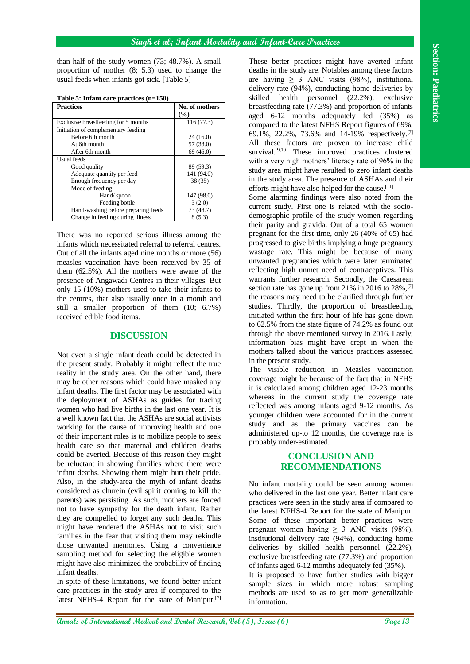#### **Singh et al; Infant Mortality and Infant-Care Practices**

than half of the study-women (73; 48.7%). A small proportion of mother (8; 5.3) used to change the usual feeds when infants got sick. [Table 5]

| Table 5: Infant care practices $(n=150)$ |                       |
|------------------------------------------|-----------------------|
| <b>Practices</b>                         | No. of mothers<br>(%) |
| Exclusive breastfeeding for 5 months     | 116(77.3)             |
| Initiation of complementary feeding      |                       |
| Before 6th month                         | 24(16.0)              |
| At 6th month                             | 57 (38.0)             |
| After 6th month                          | 69 (46.0)             |
| Usual feeds                              |                       |
| Good quality                             | 89 (59.3)             |
| Adequate quantity per feed               | 141 (94.0)            |
| Enough frequency per day                 | 38 (35)               |
| Mode of feeding                          |                       |
| Hand/spoon                               | 147 (98.0)            |
| Feeding bottle                           | 3(2.0)                |
| Hand-washing before preparing feeds      | 73 (48.7)             |
| Change in feeding during illness         | 8(5.3)                |

There was no reported serious illness among the infants which necessitated referral to referral centres. Out of all the infants aged nine months or more (56) measles vaccination have been received by 35 of them (62.5%). All the mothers were aware of the presence of Angawadi Centres in their villages. But only 15 (10%) mothers used to take their infants to the centres, that also usually once in a month and still a smaller proportion of them (10; 6.7%) received edible food items.

### **DISCUSSION**

**Ann** can be easily respect to the start of the start of the start of the start of the start of the start of the start of the start of the start of the start of the start of the start of the start of the start of the star Not even a single infant death could be detected in the present study. Probably it might reflect the true reality in the study area. On the other hand, there may be other reasons which could have masked any infant deaths. The first factor may be associated with the deployment of ASHAs as guides for tracing women who had live births in the last one year. It is a well known fact that the ASHAs are social activists working for the cause of improving health and one of their important roles is to mobilize people to seek health care so that maternal and children deaths could be averted. Because of this reason they might be reluctant in showing families where there were infant deaths. Showing them might hurt their pride. Also, in the study-area the myth of infant deaths considered as churein (evil spirit coming to kill the parents) was persisting. As such, mothers are forced not to have sympathy for the death infant. Rather they are compelled to forget any such deaths. This might have rendered the ASHAs not to visit such families in the fear that visiting them may rekindle those unwanted memories. Using a convenience sampling method for selecting the eligible women might have also minimized the probability of finding infant deaths.

In spite of these limitations, we found better infant care practices in the study area if compared to the latest NFHS-4 Report for the state of Manipur.<sup>[7]</sup>

These better practices might have averted infant deaths in the study are. Notables among these factors are having  $\geq$  3 ANC visits (98%), institutional delivery rate (94%), conducting home deliveries by skilled health personnel (22.2%), exclusive breastfeeding rate (77.3%) and proportion of infants aged 6-12 months adequately fed (35%) as compared to the latest NFHS Report figures of 69%, 69.1%, 22.2%, 73.6% and 14-19% respectively.[7] All these factors are proven to increase child survival.<sup>[9,10]</sup> These improved practices clustered with a very high mothers' literacy rate of 96% in the study area might have resulted to zero infant deaths in the study area. The presence of ASHAs and their efforts might have also helped for the cause.<sup>[11]</sup>

Some alarming findings were also noted from the current study. First one is related with the sociodemographic profile of the study-women regarding their parity and gravida. Out of a total 65 women pregnant for the first time, only 26 (40% of 65) had progressed to give births implying a huge pregnancy wastage rate. This might be because of many unwanted pregnancies which were later terminated reflecting high unmet need of contraceptives. This warrants further research. Secondly, the Caesarean section rate has gone up from 21% in 2016 to  $28\%$ , <sup>[7]</sup> the reasons may need to be clarified through further studies. Thirdly, the proportion of breastfeeding initiated within the first hour of life has gone down to 62.5% from the state figure of 74.2% as found out through the above mentioned survey in 2016. Lastly, information bias might have crept in when the mothers talked about the various practices assessed in the present study.

The visible reduction in Measles vaccination coverage might be because of the fact that in NFHS it is calculated among children aged 12-23 months whereas in the current study the coverage rate reflected was among infants aged 9-12 months. As younger children were accounted for in the current study and as the primary vaccines can be administered up-to 12 months, the coverage rate is probably under-estimated.

## **CONCLUSION AND RECOMMENDATIONS**

No infant mortality could be seen among women who delivered in the last one year. Better infant care practices were seen in the study area if compared to the latest NFHS-4 Report for the state of Manipur. Some of these important better practices were pregnant women having  $\geq$  3 ANC visits (98%), institutional delivery rate (94%), conducting home deliveries by skilled health personnel (22.2%), exclusive breastfeeding rate (77.3%) and proportion of infants aged 6-12 months adequately fed (35%).

It is proposed to have further studies with bigger sample sizes in which more robust sampling methods are used so as to get more generalizable information.